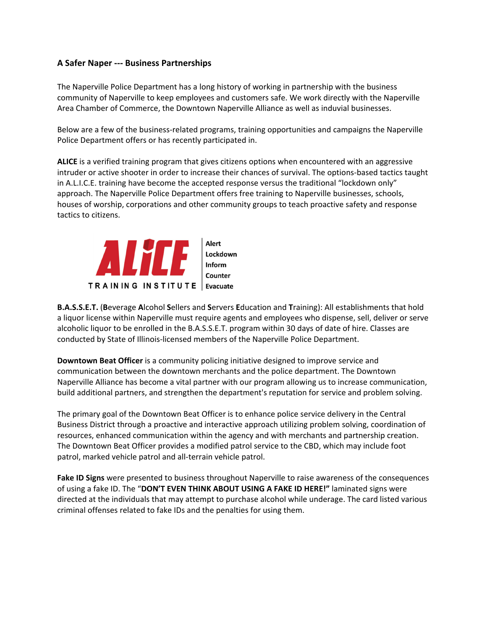## **A Safer Naper ‐‐‐ Business Partnerships**

The Naperville Police Department has a long history of working in partnership with the business community of Naperville to keep employees and customers safe. We work directly with the Naperville Area Chamber of Commerce, the Downtown Naperville Alliance as well as induvial businesses.

Below are a few of the business-related programs, training opportunities and campaigns the Naperville Police Department offers or has recently participated in.

**ALICE** is a verified training program that gives citizens options when encountered with an aggressive intruder or active shooter in order to increase their chances of survival. The options‐based tactics taught in A.L.I.C.E. training have become the accepted response versus the traditional "lockdown only" approach. The Naperville Police Department offers free training to Naperville businesses, schools, houses of worship, corporations and other community groups to teach proactive safety and response tactics to citizens.



**B.A.S.S.E.T.** (**B**everage **A**lcohol **S**ellers and **S**ervers **E**ducation and **T**raining): All establishments that hold a liquor license within Naperville must require agents and employees who dispense, sell, deliver or serve alcoholic liquor to be enrolled in the B.A.S.S.E.T. program within 30 days of date of hire. Classes are conducted by State of Illinois‐licensed members of the Naperville Police Department.

**Downtown Beat Officer** is a community policing initiative designed to improve service and communication between the downtown merchants and the police department. The Downtown Naperville Alliance has become a vital partner with our program allowing us to increase communication, build additional partners, and strengthen the department's reputation for service and problem solving.

The primary goal of the Downtown Beat Officer is to enhance police service delivery in the Central Business District through a proactive and interactive approach utilizing problem solving, coordination of resources, enhanced communication within the agency and with merchants and partnership creation. The Downtown Beat Officer provides a modified patrol service to the CBD, which may include foot patrol, marked vehicle patrol and all-terrain vehicle patrol.

**Fake ID Signs** were presented to business throughout Naperville to raise awareness of the consequences of using a fake ID. The "**DON'T EVEN THINK ABOUT USING A FAKE ID HERE!"** laminated signs were directed at the individuals that may attempt to purchase alcohol while underage. The card listed various criminal offenses related to fake IDs and the penalties for using them.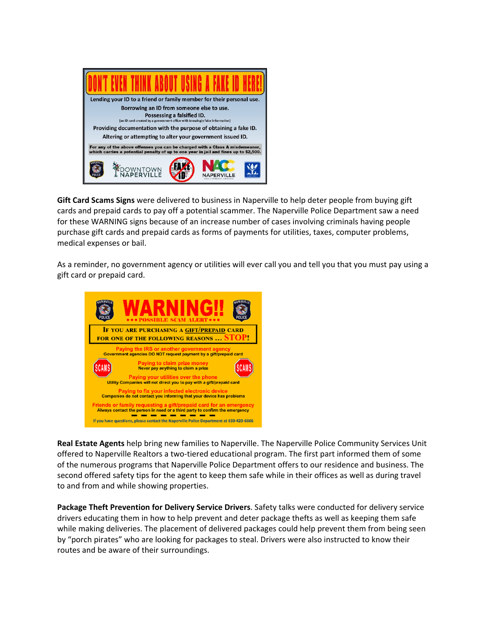

**Gift Card Scams Signs** were delivered to business in Naperville to help deter people from buying gift cards and prepaid cards to pay off a potential scammer. The Naperville Police Department saw a need for these WARNING signs because of an increase number of cases involving criminals having people purchase gift cards and prepaid cards as forms of payments for utilities, taxes, computer problems, medical expenses or bail.

As a reminder, no government agency or utilities will ever call you and tell you that you must pay using a gift card or prepaid card.



**Real Estate Agents** help bring new families to Naperville. The Naperville Police Community Services Unit offered to Naperville Realtors a two‐tiered educational program. The first part informed them of some of the numerous programs that Naperville Police Department offers to our residence and business. The second offered safety tips for the agent to keep them safe while in their offices as well as during travel to and from and while showing properties.

**Package Theft Prevention for Delivery Service Drivers**. Safety talks were conducted for delivery service drivers educating them in how to help prevent and deter package thefts as well as keeping them safe while making deliveries. The placement of delivered packages could help prevent them from being seen by "porch pirates" who are looking for packages to steal. Drivers were also instructed to know their routes and be aware of their surroundings.